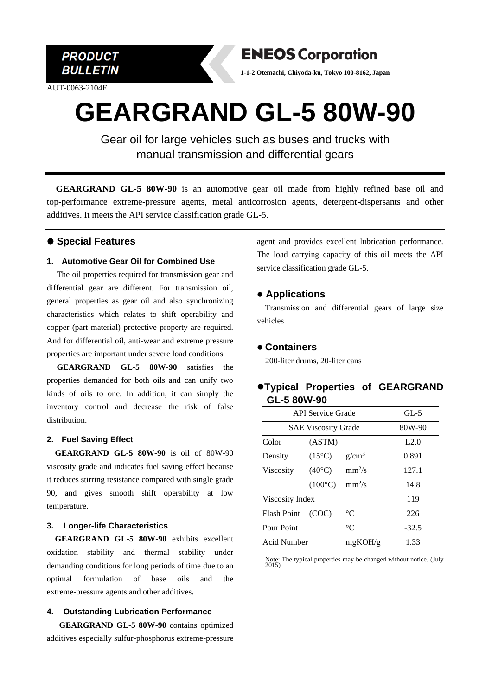

AUT-0063-2104E



**1-1-2 Otemachi, Chiyoda-ku, Tokyo 100-8162, Japan**

# **GEARGRAND GL-5 80W-90**

Gear oil for large vehicles such as buses and trucks with manual transmission and differential gears

**GEARGRAND GL-5 80W-90** is an automotive gear oil made from highly refined base oil and top-performance extreme-pressure agents, metal anticorrosion agents, detergent-dispersants and other additives. It meets the API service classification grade GL-5.

## ⚫ **Special Features**

#### **1. Automotive Gear Oil for Combined Use**

The oil properties required for transmission gear and differential gear are different. For transmission oil, general properties as gear oil and also synchronizing characteristics which relates to shift operability and copper (part material) protective property are required. And for differential oil, anti-wear and extreme pressure properties are important under severe load conditions.

**GEARGRAND GL-5 80W-90** satisfies the properties demanded for both oils and can unify two kinds of oils to one. In addition, it can simply the inventory control and decrease the risk of false distribution.

# **2. Fuel Saving Effect**

**GEARGRAND GL-5 80W-90** is oil of 80W-90 viscosity grade and indicates fuel saving effect because it reduces stirring resistance compared with single grade 90, and gives smooth shift operability at low temperature.

#### **3. Longer-life Characteristics**

**GEARGRAND GL-5 80W-90** exhibits excellent oxidation stability and thermal stability under demanding conditions for long periods of time due to an optimal formulation of base oils and the extreme-pressure agents and other additives.

#### **4. Outstanding Lubrication Performance**

**GEARGRAND GL-5 80W-90** contains optimized additives especially sulfur-phosphorus extreme-pressure

agent and provides excellent lubrication performance. The load carrying capacity of this oil meets the API service classification grade GL-5.

# ⚫ **Applications**

Transmission and differential gears of large size vehicles

## ⚫ **Containers**

200-liter drums, 20-liter cans

# ⚫**Typical Properties of GEARGRAND GL-5 80W-90**

| <b>API Service Grade</b>   |                  |             | $GL-5$  |
|----------------------------|------------------|-------------|---------|
| <b>SAE Viscosity Grade</b> |                  |             | 80W-90  |
| Color                      | (ASTM)           |             | L2.0    |
| Density                    | $(15^{\circ}C)$  | $g/cm^3$    | 0.891   |
| <b>Viscosity</b>           | $(40^{\circ}C)$  | $mm^2/s$    | 127.1   |
|                            | $(100^{\circ}C)$ | $mm^2/s$    | 14.8    |
| Viscosity Index            |                  |             | 119     |
| Flash Point                | (COC)            | $^{\circ}C$ | 226     |
| Pour Point                 |                  | $^{\circ}C$ | $-32.5$ |
| Acid Number                |                  | mgKOH/g     | 1.33    |

Note: The typical properties may be changed without notice. (July 2015)